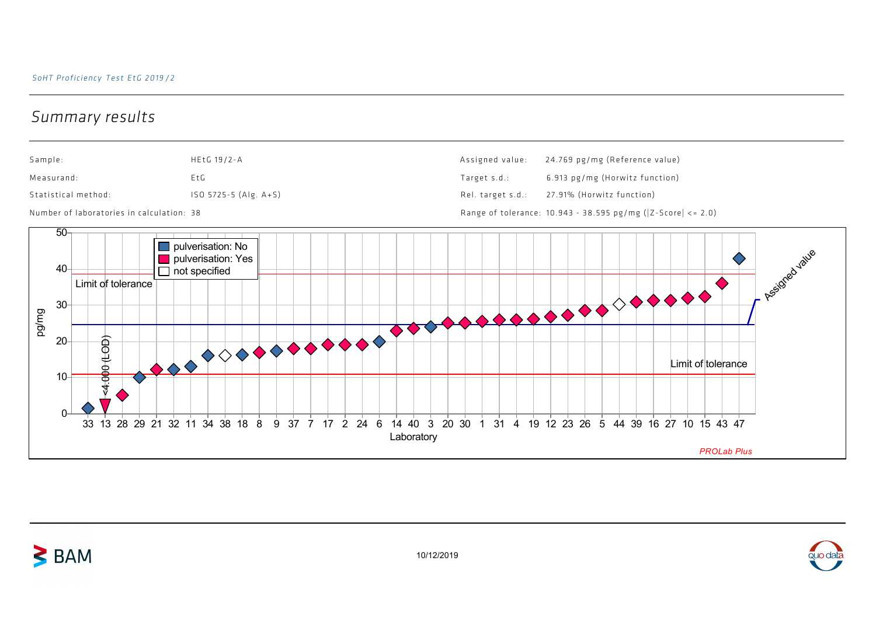## Summary results

 $\geq$  BAM





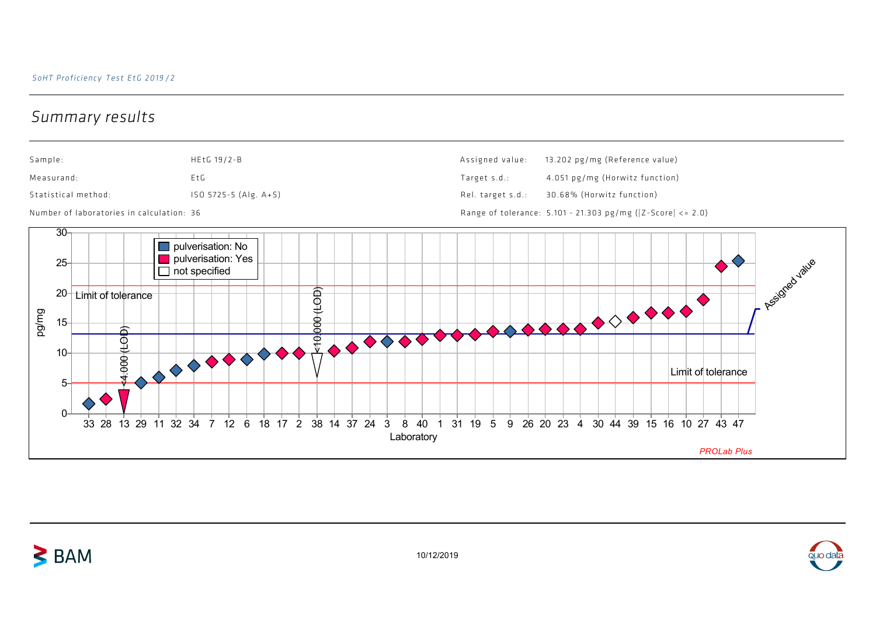## Summary results

 $\geq$  BAM





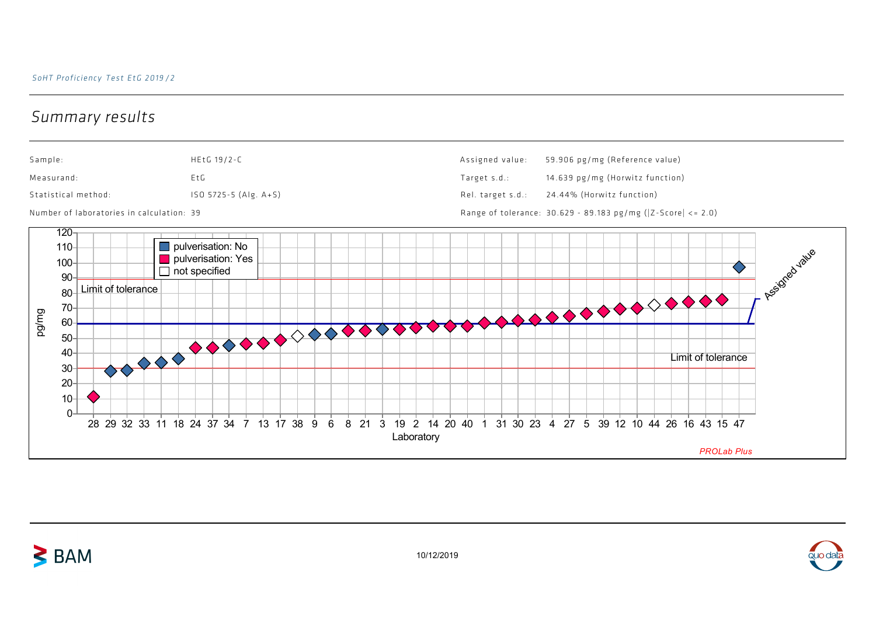## Summary results

 $\geq$  BAM